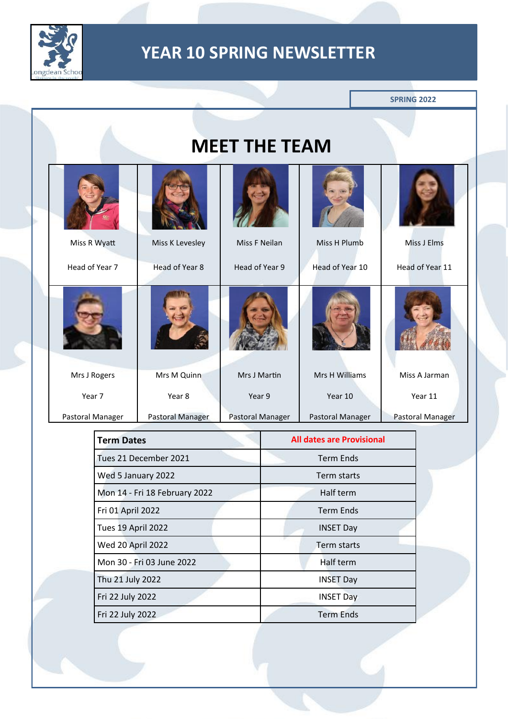

|                                         |                               |                    |                           |                      |                                  | <b>SPRING 2022</b> |
|-----------------------------------------|-------------------------------|--------------------|---------------------------|----------------------|----------------------------------|--------------------|
|                                         |                               |                    |                           | <b>MEET THE TEAM</b> |                                  |                    |
|                                         |                               |                    |                           |                      |                                  |                    |
|                                         | Miss R Wyatt                  |                    | Miss K Levesley           | Miss F Neilan        | Miss H Plumb                     | Miss J Elms        |
|                                         | Head of Year 7                |                    | Head of Year 8            | Head of Year 9       | Head of Year 10                  | Head of Year 11    |
|                                         |                               |                    |                           |                      |                                  |                    |
|                                         | Mrs J Rogers                  |                    | Mrs M Quinn               | Mrs J Martin         | Mrs H Williams                   | Miss A Jarman      |
|                                         | Year 7                        |                    | Year 8                    | Year 9               | Year 10                          | Year 11            |
|                                         | Pastoral Manager              |                    | Pastoral Manager          | Pastoral Manager     | Pastoral Manager                 | Pastoral Manager   |
|                                         |                               | <b>Term Dates</b>  |                           |                      | <b>All dates are Provisional</b> |                    |
|                                         |                               |                    | Tues 21 December 2021     |                      | <b>Term Ends</b>                 |                    |
|                                         |                               | Wed 5 January 2022 |                           |                      | Term starts                      |                    |
|                                         | Mon 14 - Fri 18 February 2022 |                    |                           | Half term            |                                  |                    |
| Fri 01 April 2022<br>Tues 19 April 2022 |                               |                    | <b>Term Ends</b>          |                      |                                  |                    |
|                                         |                               |                    | <b>INSET Day</b>          |                      |                                  |                    |
|                                         | <b>Wed 20 April 2022</b>      |                    |                           | Term starts          |                                  |                    |
|                                         |                               |                    | Mon 30 - Fri 03 June 2022 |                      | Half term                        |                    |
|                                         |                               | Thu 21 July 2022   |                           |                      | <b>INSET Day</b>                 |                    |
|                                         |                               | Fri 22 July 2022   |                           |                      | <b>INSET Day</b>                 |                    |
|                                         |                               | Fri 22 July 2022   |                           |                      | <b>Term Ends</b>                 |                    |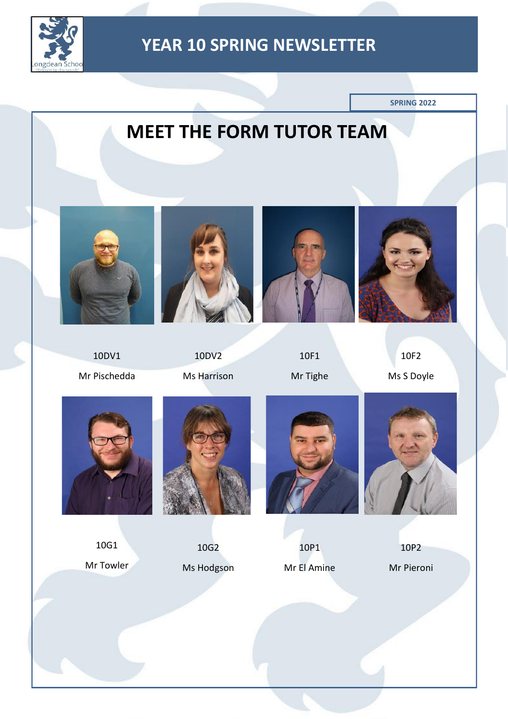

**SPRING 2022**

# **MEET THE FORM TUTOR TEAM**



10DV1 Mr Pischedda



10DV2 Ms Harrison





10F1 Mr Tighe

10F2 Ms S Doyle



10G1 Mr Towler



10G2 Ms Hodgson



10P1 Mr El Amine



10P2 Mr Pieroni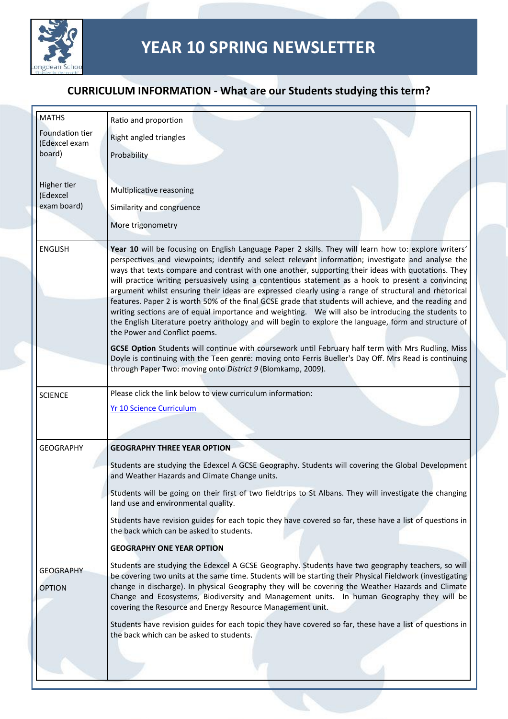

| <b>MATHS</b>               | Ratio and proportion                                                                                                                                                                                                                                                                                                                                                                                                                                                                                                                                                                                                                                                                                                                                                                                                                                                                                                                                                                                |
|----------------------------|-----------------------------------------------------------------------------------------------------------------------------------------------------------------------------------------------------------------------------------------------------------------------------------------------------------------------------------------------------------------------------------------------------------------------------------------------------------------------------------------------------------------------------------------------------------------------------------------------------------------------------------------------------------------------------------------------------------------------------------------------------------------------------------------------------------------------------------------------------------------------------------------------------------------------------------------------------------------------------------------------------|
| Foundation tier            | Right angled triangles                                                                                                                                                                                                                                                                                                                                                                                                                                                                                                                                                                                                                                                                                                                                                                                                                                                                                                                                                                              |
| (Edexcel exam<br>board)    | Probability                                                                                                                                                                                                                                                                                                                                                                                                                                                                                                                                                                                                                                                                                                                                                                                                                                                                                                                                                                                         |
|                            |                                                                                                                                                                                                                                                                                                                                                                                                                                                                                                                                                                                                                                                                                                                                                                                                                                                                                                                                                                                                     |
| Higher tier<br>(Edexcel    | Multiplicative reasoning                                                                                                                                                                                                                                                                                                                                                                                                                                                                                                                                                                                                                                                                                                                                                                                                                                                                                                                                                                            |
| exam board)                | Similarity and congruence                                                                                                                                                                                                                                                                                                                                                                                                                                                                                                                                                                                                                                                                                                                                                                                                                                                                                                                                                                           |
|                            | More trigonometry                                                                                                                                                                                                                                                                                                                                                                                                                                                                                                                                                                                                                                                                                                                                                                                                                                                                                                                                                                                   |
| <b>ENGLISH</b>             | Year 10 will be focusing on English Language Paper 2 skills. They will learn how to: explore writers'<br>perspectives and viewpoints; identify and select relevant information; investigate and analyse the<br>ways that texts compare and contrast with one another, supporting their ideas with quotations. They<br>will practice writing persuasively using a contentious statement as a hook to present a convincing<br>argument whilst ensuring their ideas are expressed clearly using a range of structural and rhetorical<br>features. Paper 2 is worth 50% of the final GCSE grade that students will achieve, and the reading and<br>writing sections are of equal importance and weighting.  We will also be introducing the students to<br>the English Literature poetry anthology and will begin to explore the language, form and structure of<br>the Power and Conflict poems.<br>GCSE Option Students will continue with coursework until February half term with Mrs Rudling. Miss |
|                            | Doyle is continuing with the Teen genre: moving onto Ferris Bueller's Day Off. Mrs Read is continuing<br>through Paper Two: moving onto District 9 (Blomkamp, 2009).                                                                                                                                                                                                                                                                                                                                                                                                                                                                                                                                                                                                                                                                                                                                                                                                                                |
| <b>SCIENCE</b>             | Please click the link below to view curriculum information:                                                                                                                                                                                                                                                                                                                                                                                                                                                                                                                                                                                                                                                                                                                                                                                                                                                                                                                                         |
|                            | <b>Yr 10 Science Curriculum</b>                                                                                                                                                                                                                                                                                                                                                                                                                                                                                                                                                                                                                                                                                                                                                                                                                                                                                                                                                                     |
|                            |                                                                                                                                                                                                                                                                                                                                                                                                                                                                                                                                                                                                                                                                                                                                                                                                                                                                                                                                                                                                     |
| <b>GEOGRAPHY</b>           | <b>GEOGRAPHY THREE YEAR OPTION</b>                                                                                                                                                                                                                                                                                                                                                                                                                                                                                                                                                                                                                                                                                                                                                                                                                                                                                                                                                                  |
|                            | Students are studying the Edexcel A GCSE Geography. Students will covering the Global Development<br>and Weather Hazards and Climate Change units.                                                                                                                                                                                                                                                                                                                                                                                                                                                                                                                                                                                                                                                                                                                                                                                                                                                  |
|                            | Students will be going on their first of two fieldtrips to St Albans. They will investigate the changing<br>land use and environmental quality.                                                                                                                                                                                                                                                                                                                                                                                                                                                                                                                                                                                                                                                                                                                                                                                                                                                     |
|                            | Students have revision guides for each topic they have covered so far, these have a list of questions in<br>the back which can be asked to students.                                                                                                                                                                                                                                                                                                                                                                                                                                                                                                                                                                                                                                                                                                                                                                                                                                                |
|                            | <b>GEOGRAPHY ONE YEAR OPTION</b>                                                                                                                                                                                                                                                                                                                                                                                                                                                                                                                                                                                                                                                                                                                                                                                                                                                                                                                                                                    |
| GEOGRAPHY<br><b>OPTION</b> | Students are studying the Edexcel A GCSE Geography. Students have two geography teachers, so will<br>be covering two units at the same time. Students will be starting their Physical Fieldwork (investigating<br>change in discharge). In physical Geography they will be covering the Weather Hazards and Climate<br>Change and Ecosystems, Biodiversity and Management units. In human Geography they will be<br>covering the Resource and Energy Resource Management unit.                                                                                                                                                                                                                                                                                                                                                                                                                                                                                                                      |
|                            | Students have revision guides for each topic they have covered so far, these have a list of questions in<br>the back which can be asked to students.                                                                                                                                                                                                                                                                                                                                                                                                                                                                                                                                                                                                                                                                                                                                                                                                                                                |
|                            |                                                                                                                                                                                                                                                                                                                                                                                                                                                                                                                                                                                                                                                                                                                                                                                                                                                                                                                                                                                                     |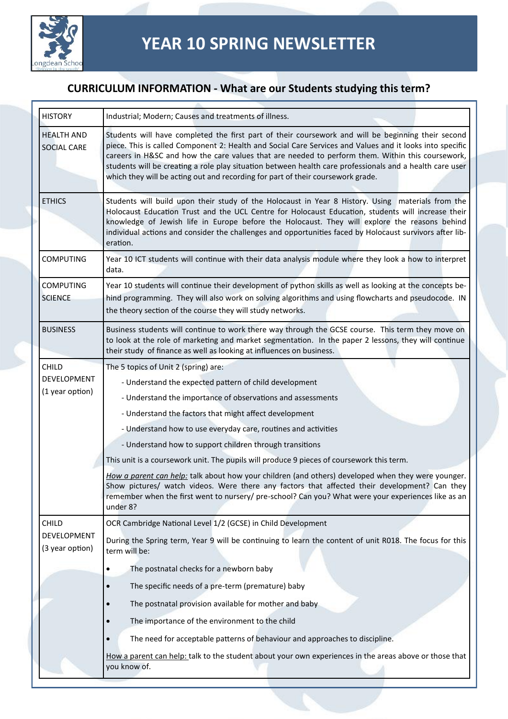

| <b>HISTORY</b>                     | Industrial; Modern; Causes and treatments of illness.                                                                                                                                                                                                                                                                                                                                                                                                                                                             |  |  |
|------------------------------------|-------------------------------------------------------------------------------------------------------------------------------------------------------------------------------------------------------------------------------------------------------------------------------------------------------------------------------------------------------------------------------------------------------------------------------------------------------------------------------------------------------------------|--|--|
| <b>HEALTH AND</b><br>SOCIAL CARE   | Students will have completed the first part of their coursework and will be beginning their second<br>piece. This is called Component 2: Health and Social Care Services and Values and it looks into specific<br>careers in H&SC and how the care values that are needed to perform them. Within this coursework,<br>students will be creating a role play situation between health care professionals and a health care user<br>which they will be acting out and recording for part of their coursework grade. |  |  |
| <b>ETHICS</b>                      | Students will build upon their study of the Holocaust in Year 8 History. Using materials from the<br>Holocaust Education Trust and the UCL Centre for Holocaust Education, students will increase their<br>knowledge of Jewish life in Europe before the Holocaust. They will explore the reasons behind<br>individual actions and consider the challenges and opportunities faced by Holocaust survivors after lib-<br>eration.                                                                                  |  |  |
| <b>COMPUTING</b>                   | Year 10 ICT students will continue with their data analysis module where they look a how to interpret<br>data.                                                                                                                                                                                                                                                                                                                                                                                                    |  |  |
| <b>COMPUTING</b><br><b>SCIENCE</b> | Year 10 students will continue their development of python skills as well as looking at the concepts be-<br>hind programming. They will also work on solving algorithms and using flowcharts and pseudocode. IN                                                                                                                                                                                                                                                                                                   |  |  |
| <b>BUSINESS</b>                    | the theory section of the course they will study networks.<br>Business students will continue to work there way through the GCSE course. This term they move on<br>to look at the role of marketing and market segmentation. In the paper 2 lessons, they will continue<br>their study of finance as well as looking at influences on business.                                                                                                                                                                   |  |  |
| CHILD                              | The 5 topics of Unit 2 (spring) are:                                                                                                                                                                                                                                                                                                                                                                                                                                                                              |  |  |
| <b>DEVELOPMENT</b>                 | - Understand the expected pattern of child development                                                                                                                                                                                                                                                                                                                                                                                                                                                            |  |  |
| (1 year option)                    | - Understand the importance of observations and assessments                                                                                                                                                                                                                                                                                                                                                                                                                                                       |  |  |
|                                    | - Understand the factors that might affect development                                                                                                                                                                                                                                                                                                                                                                                                                                                            |  |  |
|                                    | - Understand how to use everyday care, routines and activities                                                                                                                                                                                                                                                                                                                                                                                                                                                    |  |  |
|                                    | - Understand how to support children through transitions                                                                                                                                                                                                                                                                                                                                                                                                                                                          |  |  |
|                                    | This unit is a coursework unit. The pupils will produce 9 pieces of coursework this term.                                                                                                                                                                                                                                                                                                                                                                                                                         |  |  |
|                                    | How a parent can help: talk about how your children (and others) developed when they were younger.<br>Show pictures/ watch videos. Were there any factors that affected their development? Can they<br>remember when the first went to nursery/ pre-school? Can you? What were your experiences like as an<br>under 8?                                                                                                                                                                                            |  |  |
| <b>CHILD</b>                       | OCR Cambridge National Level 1/2 (GCSE) in Child Development                                                                                                                                                                                                                                                                                                                                                                                                                                                      |  |  |
| DEVELOPMENT<br>(3 year option)     | During the Spring term, Year 9 will be continuing to learn the content of unit R018. The focus for this<br>term will be:                                                                                                                                                                                                                                                                                                                                                                                          |  |  |
|                                    | The postnatal checks for a newborn baby                                                                                                                                                                                                                                                                                                                                                                                                                                                                           |  |  |
|                                    | The specific needs of a pre-term (premature) baby                                                                                                                                                                                                                                                                                                                                                                                                                                                                 |  |  |
|                                    | The postnatal provision available for mother and baby                                                                                                                                                                                                                                                                                                                                                                                                                                                             |  |  |
|                                    | The importance of the environment to the child                                                                                                                                                                                                                                                                                                                                                                                                                                                                    |  |  |
|                                    | The need for acceptable patterns of behaviour and approaches to discipline.                                                                                                                                                                                                                                                                                                                                                                                                                                       |  |  |
|                                    | How a parent can help: talk to the student about your own experiences in the areas above or those that<br>you know of.                                                                                                                                                                                                                                                                                                                                                                                            |  |  |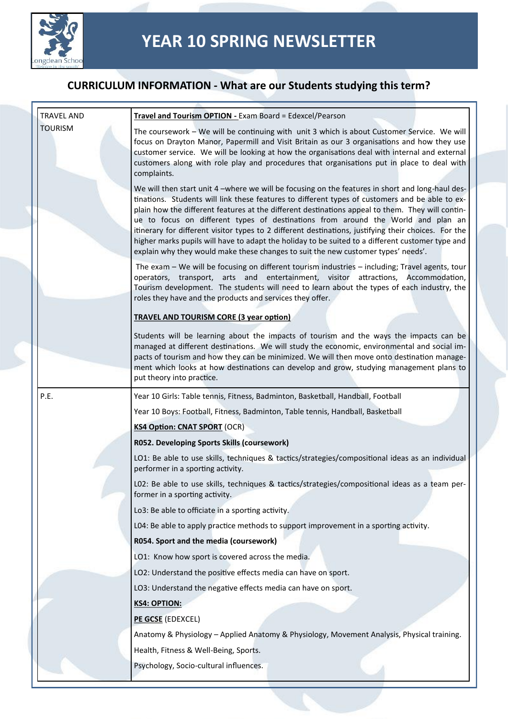

| <b>TRAVEL AND</b> | Travel and Tourism OPTION - Exam Board = Edexcel/Pearson                                                                                                                                                                                                                                                                                                                                                                                                                                                                                                                                                                                                                                     |
|-------------------|----------------------------------------------------------------------------------------------------------------------------------------------------------------------------------------------------------------------------------------------------------------------------------------------------------------------------------------------------------------------------------------------------------------------------------------------------------------------------------------------------------------------------------------------------------------------------------------------------------------------------------------------------------------------------------------------|
| <b>TOURISM</b>    | The coursework - We will be continuing with unit 3 which is about Customer Service. We will<br>focus on Drayton Manor, Papermill and Visit Britain as our 3 organisations and how they use<br>customer service. We will be looking at how the organisations deal with internal and external<br>customers along with role play and procedures that organisations put in place to deal with<br>complaints.                                                                                                                                                                                                                                                                                     |
|                   | We will then start unit 4 -where we will be focusing on the features in short and long-haul des-<br>tinations. Students will link these features to different types of customers and be able to ex-<br>plain how the different features at the different destinations appeal to them. They will contin-<br>ue to focus on different types of destinations from around the World and plan an<br>itinerary for different visitor types to 2 different destinations, justifying their choices. For the<br>higher marks pupils will have to adapt the holiday to be suited to a different customer type and<br>explain why they would make these changes to suit the new customer types' needs'. |
|                   | The exam - We will be focusing on different tourism industries - including; Travel agents, tour<br>operators, transport, arts and entertainment, visitor attractions, Accommodation,<br>Tourism development. The students will need to learn about the types of each industry, the<br>roles they have and the products and services they offer.                                                                                                                                                                                                                                                                                                                                              |
|                   | <b>TRAVEL AND TOURISM CORE (3 year option)</b>                                                                                                                                                                                                                                                                                                                                                                                                                                                                                                                                                                                                                                               |
|                   | Students will be learning about the impacts of tourism and the ways the impacts can be<br>managed at different destinations. We will study the economic, environmental and social im-<br>pacts of tourism and how they can be minimized. We will then move onto destination manage-<br>ment which looks at how destinations can develop and grow, studying management plans to<br>put theory into practice.                                                                                                                                                                                                                                                                                  |
| P.E.              | Year 10 Girls: Table tennis, Fitness, Badminton, Basketball, Handball, Football                                                                                                                                                                                                                                                                                                                                                                                                                                                                                                                                                                                                              |
|                   | Year 10 Boys: Football, Fitness, Badminton, Table tennis, Handball, Basketball                                                                                                                                                                                                                                                                                                                                                                                                                                                                                                                                                                                                               |
|                   | <b>KS4 Option: CNAT SPORT (OCR)</b>                                                                                                                                                                                                                                                                                                                                                                                                                                                                                                                                                                                                                                                          |
|                   | R052. Developing Sports Skills (coursework)                                                                                                                                                                                                                                                                                                                                                                                                                                                                                                                                                                                                                                                  |
|                   | LO1: Be able to use skills, techniques & tactics/strategies/compositional ideas as an individual<br>performer in a sporting activity.                                                                                                                                                                                                                                                                                                                                                                                                                                                                                                                                                        |
|                   | L02: Be able to use skills, techniques & tactics/strategies/compositional ideas as a team per-<br>former in a sporting activity.                                                                                                                                                                                                                                                                                                                                                                                                                                                                                                                                                             |
|                   | Lo3: Be able to officiate in a sporting activity.                                                                                                                                                                                                                                                                                                                                                                                                                                                                                                                                                                                                                                            |
|                   | L04: Be able to apply practice methods to support improvement in a sporting activity.                                                                                                                                                                                                                                                                                                                                                                                                                                                                                                                                                                                                        |
|                   | R054. Sport and the media (coursework)                                                                                                                                                                                                                                                                                                                                                                                                                                                                                                                                                                                                                                                       |
|                   | LO1: Know how sport is covered across the media.                                                                                                                                                                                                                                                                                                                                                                                                                                                                                                                                                                                                                                             |
|                   | LO2: Understand the positive effects media can have on sport.                                                                                                                                                                                                                                                                                                                                                                                                                                                                                                                                                                                                                                |
|                   | LO3: Understand the negative effects media can have on sport.                                                                                                                                                                                                                                                                                                                                                                                                                                                                                                                                                                                                                                |
|                   | <b>KS4: OPTION:</b>                                                                                                                                                                                                                                                                                                                                                                                                                                                                                                                                                                                                                                                                          |
|                   | PE GCSE (EDEXCEL)                                                                                                                                                                                                                                                                                                                                                                                                                                                                                                                                                                                                                                                                            |
|                   | Anatomy & Physiology - Applied Anatomy & Physiology, Movement Analysis, Physical training.                                                                                                                                                                                                                                                                                                                                                                                                                                                                                                                                                                                                   |
|                   | Health, Fitness & Well-Being, Sports.                                                                                                                                                                                                                                                                                                                                                                                                                                                                                                                                                                                                                                                        |
|                   | Psychology, Socio-cultural influences.                                                                                                                                                                                                                                                                                                                                                                                                                                                                                                                                                                                                                                                       |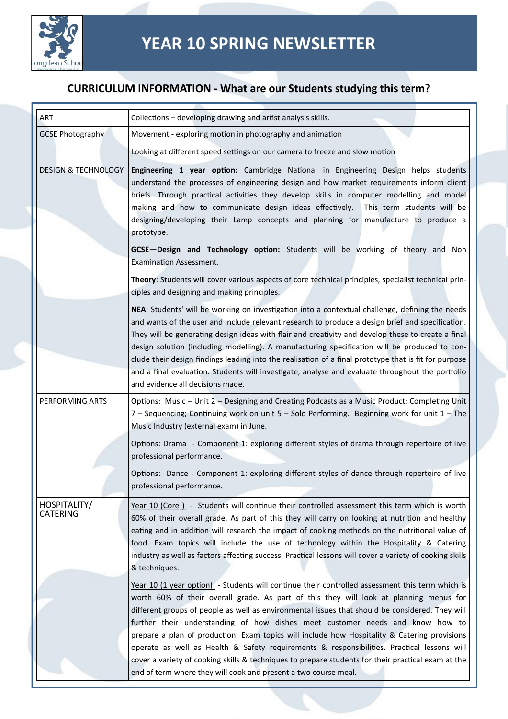

| ART                             | Collections – developing drawing and artist analysis skills.                                                                                                                                                                                                                                                                                                                                                                                                                                                                                                                                                                                                                                                                                         |
|---------------------------------|------------------------------------------------------------------------------------------------------------------------------------------------------------------------------------------------------------------------------------------------------------------------------------------------------------------------------------------------------------------------------------------------------------------------------------------------------------------------------------------------------------------------------------------------------------------------------------------------------------------------------------------------------------------------------------------------------------------------------------------------------|
| <b>GCSE Photography</b>         | Movement - exploring motion in photography and animation                                                                                                                                                                                                                                                                                                                                                                                                                                                                                                                                                                                                                                                                                             |
|                                 | Looking at different speed settings on our camera to freeze and slow motion                                                                                                                                                                                                                                                                                                                                                                                                                                                                                                                                                                                                                                                                          |
| <b>DESIGN &amp; TECHNOLOGY</b>  | Engineering 1 year option: Cambridge National in Engineering Design helps students<br>understand the processes of engineering design and how market requirements inform client<br>briefs. Through practical activities they develop skills in computer modelling and model<br>making and how to communicate design ideas effectively.<br>This term students will be<br>designing/developing their Lamp concepts and planning for manufacture to produce a<br>prototype.                                                                                                                                                                                                                                                                              |
|                                 | GCSE-Design and Technology option: Students will be working of theory and Non<br><b>Examination Assessment.</b>                                                                                                                                                                                                                                                                                                                                                                                                                                                                                                                                                                                                                                      |
|                                 | Theory: Students will cover various aspects of core technical principles, specialist technical prin-<br>ciples and designing and making principles.                                                                                                                                                                                                                                                                                                                                                                                                                                                                                                                                                                                                  |
|                                 | NEA: Students' will be working on investigation into a contextual challenge, defining the needs<br>and wants of the user and include relevant research to produce a design brief and specification.<br>They will be generating design ideas with flair and creativity and develop these to create a final<br>design solution (including modelling). A manufacturing specification will be produced to con-<br>clude their design findings leading into the realisation of a final prototype that is fit for purpose<br>and a final evaluation. Students will investigate, analyse and evaluate throughout the portfolio<br>and evidence all decisions made.                                                                                          |
| PERFORMING ARTS                 | Options: Music - Unit 2 - Designing and Creating Podcasts as a Music Product; Completing Unit<br>7 - Sequencing; Continuing work on unit 5 - Solo Performing. Beginning work for unit 1 - The<br>Music Industry (external exam) in June.                                                                                                                                                                                                                                                                                                                                                                                                                                                                                                             |
|                                 | Options: Drama - Component 1: exploring different styles of drama through repertoire of live<br>professional performance.                                                                                                                                                                                                                                                                                                                                                                                                                                                                                                                                                                                                                            |
|                                 | Options: Dance - Component 1: exploring different styles of dance through repertoire of live<br>professional performance.                                                                                                                                                                                                                                                                                                                                                                                                                                                                                                                                                                                                                            |
| HOSPITALITY/<br><b>CATERING</b> | Year 10 (Core) - Students will continue their controlled assessment this term which is worth<br>60% of their overall grade. As part of this they will carry on looking at nutrition and healthy<br>eating and in addition will research the impact of cooking methods on the nutritional value of<br>food. Exam topics will include the use of technology within the Hospitality & Catering<br>industry as well as factors affecting success. Practical lessons will cover a variety of cooking skills<br>& techniques.                                                                                                                                                                                                                              |
|                                 | Year 10 (1 year option) - Students will continue their controlled assessment this term which is<br>worth 60% of their overall grade. As part of this they will look at planning menus for<br>different groups of people as well as environmental issues that should be considered. They will<br>further their understanding of how dishes meet customer needs and know how to<br>prepare a plan of production. Exam topics will include how Hospitality & Catering provisions<br>operate as well as Health & Safety requirements & responsibilities. Practical lessons will<br>cover a variety of cooking skills & techniques to prepare students for their practical exam at the<br>end of term where they will cook and present a two course meal. |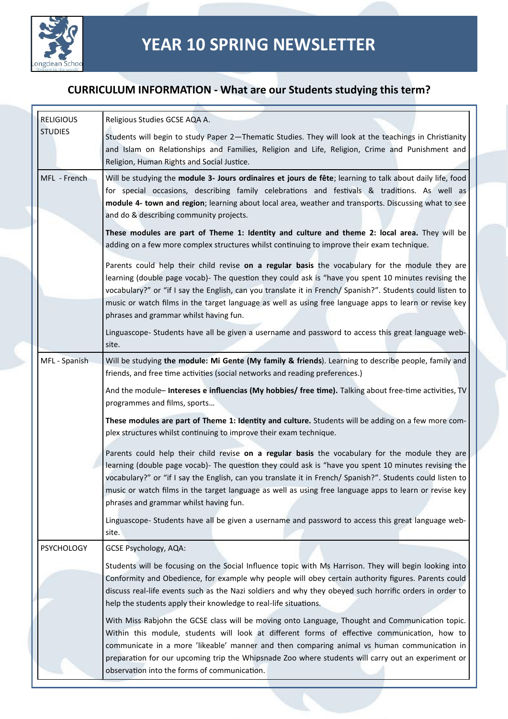

| <b>RELIGIOUS</b>  | Religious Studies GCSE AQA A.                                                                                                                                                                                                                                                                                                                                                                                                                                             |
|-------------------|---------------------------------------------------------------------------------------------------------------------------------------------------------------------------------------------------------------------------------------------------------------------------------------------------------------------------------------------------------------------------------------------------------------------------------------------------------------------------|
| <b>STUDIES</b>    | Students will begin to study Paper 2-Thematic Studies. They will look at the teachings in Christianity<br>and Islam on Relationships and Families, Religion and Life, Religion, Crime and Punishment and<br>Religion, Human Rights and Social Justice.                                                                                                                                                                                                                    |
| MFL - French      | Will be studying the module 3- Jours ordinaires et jours de fête; learning to talk about daily life, food<br>for special occasions, describing family celebrations and festivals & traditions. As well as<br>module 4- town and region; learning about local area, weather and transports. Discussing what to see<br>and do & describing community projects.                                                                                                              |
|                   | These modules are part of Theme 1: Identity and culture and theme 2: local area. They will be<br>adding on a few more complex structures whilst continuing to improve their exam technique.                                                                                                                                                                                                                                                                               |
|                   | Parents could help their child revise on a regular basis the vocabulary for the module they are<br>learning (double page vocab)- The question they could ask is "have you spent 10 minutes revising the<br>vocabulary?" or "if I say the English, can you translate it in French/ Spanish?". Students could listen to<br>music or watch films in the target language as well as using free language apps to learn or revise key<br>phrases and grammar whilst having fun. |
|                   | Linguascope- Students have all be given a username and password to access this great language web-<br>site.                                                                                                                                                                                                                                                                                                                                                               |
| MFL - Spanish     | Will be studying the module: Mi Gente (My family & friends). Learning to describe people, family and<br>friends, and free time activities (social networks and reading preferences.)                                                                                                                                                                                                                                                                                      |
|                   | And the module- Intereses e influencias (My hobbies/ free time). Talking about free-time activities, TV<br>programmes and films, sports                                                                                                                                                                                                                                                                                                                                   |
|                   | These modules are part of Theme 1: Identity and culture. Students will be adding on a few more com-<br>plex structures whilst continuing to improve their exam technique.                                                                                                                                                                                                                                                                                                 |
|                   | Parents could help their child revise on a regular basis the vocabulary for the module they are<br>learning (double page vocab)- The question they could ask is "have you spent 10 minutes revising the<br>vocabulary?" or "if I say the English, can you translate it in French/ Spanish?". Students could listen to<br>music or watch films in the target language as well as using free language apps to learn or revise key<br>phrases and grammar whilst having fun. |
|                   | Linguascope- Students have all be given a username and password to access this great language web-<br>site.                                                                                                                                                                                                                                                                                                                                                               |
| <b>PSYCHOLOGY</b> | <b>GCSE Psychology, AQA:</b>                                                                                                                                                                                                                                                                                                                                                                                                                                              |
|                   | Students will be focusing on the Social Influence topic with Ms Harrison. They will begin looking into<br>Conformity and Obedience, for example why people will obey certain authority figures. Parents could<br>discuss real-life events such as the Nazi soldiers and why they obeyed such horrific orders in order to<br>help the students apply their knowledge to real-life situations.                                                                              |
|                   | With Miss Rabjohn the GCSE class will be moving onto Language, Thought and Communication topic.<br>Within this module, students will look at different forms of effective communication, how to<br>communicate in a more 'likeable' manner and then comparing animal vs human communication in<br>preparation for our upcoming trip the Whipsnade Zoo where students will carry out an experiment or<br>observation into the forms of communication.                      |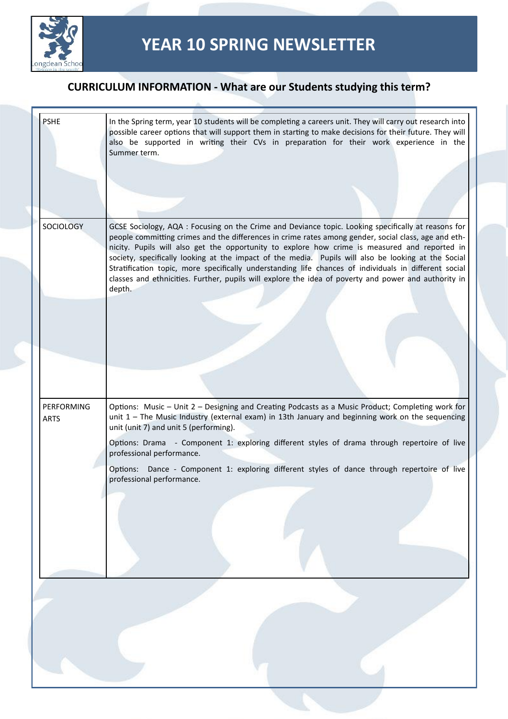

| <b>PSHE</b>                      | In the Spring term, year 10 students will be completing a careers unit. They will carry out research into<br>possible career options that will support them in starting to make decisions for their future. They will<br>also be supported in writing their CVs in preparation for their work experience in the<br>Summer term.                                                                                                                                                                                              |  |
|----------------------------------|------------------------------------------------------------------------------------------------------------------------------------------------------------------------------------------------------------------------------------------------------------------------------------------------------------------------------------------------------------------------------------------------------------------------------------------------------------------------------------------------------------------------------|--|
|                                  |                                                                                                                                                                                                                                                                                                                                                                                                                                                                                                                              |  |
|                                  |                                                                                                                                                                                                                                                                                                                                                                                                                                                                                                                              |  |
| <b>SOCIOLOGY</b>                 | GCSE Sociology, AQA : Focusing on the Crime and Deviance topic. Looking specifically at reasons for<br>people committing crimes and the differences in crime rates among gender, social class, age and eth-<br>nicity. Pupils will also get the opportunity to explore how crime is measured and reported in<br>society, specifically looking at the impact of the media. Pupils will also be looking at the Social<br>Stratification topic, more specifically understanding life chances of individuals in different social |  |
|                                  | classes and ethnicities. Further, pupils will explore the idea of poverty and power and authority in<br>depth.                                                                                                                                                                                                                                                                                                                                                                                                               |  |
|                                  |                                                                                                                                                                                                                                                                                                                                                                                                                                                                                                                              |  |
|                                  |                                                                                                                                                                                                                                                                                                                                                                                                                                                                                                                              |  |
|                                  |                                                                                                                                                                                                                                                                                                                                                                                                                                                                                                                              |  |
|                                  |                                                                                                                                                                                                                                                                                                                                                                                                                                                                                                                              |  |
| <b>PERFORMING</b><br><b>ARTS</b> | Options: Music - Unit 2 - Designing and Creating Podcasts as a Music Product; Completing work for<br>unit 1 - The Music Industry (external exam) in 13th January and beginning work on the sequencing<br>unit (unit 7) and unit 5 (performing).                                                                                                                                                                                                                                                                              |  |
|                                  | Options: Drama - Component 1: exploring different styles of drama through repertoire of live<br>professional performance.                                                                                                                                                                                                                                                                                                                                                                                                    |  |
|                                  | Options: Dance - Component 1: exploring different styles of dance through repertoire of live<br>professional performance.                                                                                                                                                                                                                                                                                                                                                                                                    |  |
|                                  |                                                                                                                                                                                                                                                                                                                                                                                                                                                                                                                              |  |
|                                  |                                                                                                                                                                                                                                                                                                                                                                                                                                                                                                                              |  |
|                                  |                                                                                                                                                                                                                                                                                                                                                                                                                                                                                                                              |  |
|                                  |                                                                                                                                                                                                                                                                                                                                                                                                                                                                                                                              |  |
|                                  |                                                                                                                                                                                                                                                                                                                                                                                                                                                                                                                              |  |
|                                  |                                                                                                                                                                                                                                                                                                                                                                                                                                                                                                                              |  |
|                                  |                                                                                                                                                                                                                                                                                                                                                                                                                                                                                                                              |  |
|                                  |                                                                                                                                                                                                                                                                                                                                                                                                                                                                                                                              |  |